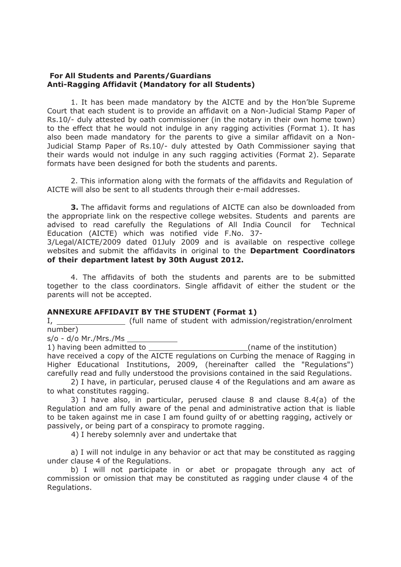## **For All Students and Parents/Guardians Anti-Ragging Affidavit (Mandatory for all Students)**

1. It has been made mandatory by the AICTE and by the Hon'ble Supreme Court that each student is to provide an affidavit on a Non-Judicial Stamp Paper of Rs.10/- duly attested by oath commissioner (in the notary in their own home town) to the effect that he would not indulge in any ragging activities (Format 1). It has also been made mandatory for the parents to give a similar affidavit on a Non-Judicial Stamp Paper of Rs.10/- duly attested by Oath Commissioner saying that their wards would not indulge in any such ragging activities (Format 2). Separate formats have been designed for both the students and parents.

2. This information along with the formats of the affidavits and Regulation of AICTE will also be sent to all students through their e-mail addresses.

**3.** The affidavit forms and regulations of AICTE can also be downloaded from the appropriate link on the respective college websites. Students and parents are advised to read carefully the Regulations of All India Council for Technical Education (AICTE) which was notified vide F.No. 37-

3/Legal/AICTE/2009 dated 01July 2009 and is available on respective college websites and submit the affidavits in original to the **Department Coordinators of their department latest by 30th August 2012.**

4. The affidavits of both the students and parents are to be submitted together to the class coordinators. Single affidavit of either the student or the parents will not be accepted.

## **ANNEXURE AFFIDAVIT BY THE STUDENT (Format 1)**

I, number) (full name of student with admission/registration/enrolment

s/o - d/o Mr./Mrs./Ms

1) having been admitted to (name of the institution) have received a copy of the AICTE regulations on Curbing the menace of Ragging in Higher Educational Institutions, 2009, (hereinafter called the "Regulations") carefully read and fully understood the provisions contained in the said Regulations.

2) I have, in particular, perused clause 4 of the Regulations and am aware as to what constitutes ragging.

3) I have also, in particular, perused clause 8 and clause 8.4(a) of the Regulation and am fully aware of the penal and administrative action that is liable to be taken against me in case I am found guilty of or abetting ragging, actively or passively, or being part of a conspiracy to promote ragging.

4) I hereby solemnly aver and undertake that

a) I will not indulge in any behavior or act that may be constituted as ragging under clause 4 of the Regulations.

b) I will not participate in or abet or propagate through any act of commission or omission that may be constituted as ragging under clause 4 of the Regulations.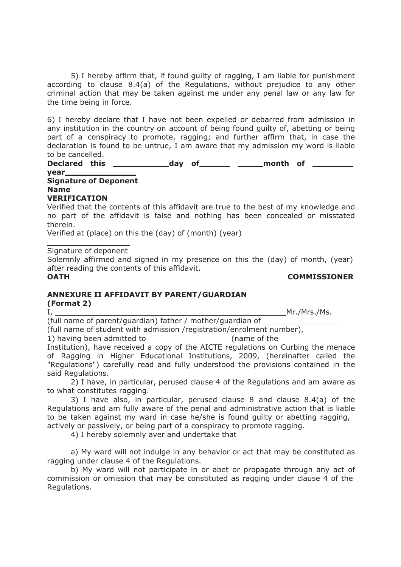5) I hereby affirm that, if found guilty of ragging, I am liable for punishment according to clause 8.4(a) of the Regulations, without prejudice to any other criminal action that may be taken against me under any penal law or any law for the time being in force.

6) I hereby declare that I have not been expelled or debarred from admission in any institution in the country on account of being found guilty of, abetting or being part of a conspiracy to promote, ragging; and further affirm that, in case the declaration is found to be untrue, I am aware that my admission my word is liable to be cancelled.

**Declared this \_ day** of \_\_\_\_\_\_\_\_ \_\_\_\_\_\_\_month of \_

## **year Signature of Deponent Name**

**VERIFICATION**

Verified that the contents of this affidavit are true to the best of my knowledge and no part of the affidavit is false and nothing has been concealed or misstated therein.

Verified at (place) on this the (day) of (month) (year)

Signature of deponent

Solemnly affirmed and signed in my presence on this the (day) of month, (year) after reading the contents of this affidavit.

**OATH COMMISSIONER**

# **ANNEXURE II AFFIDAVIT BY PARENT/GUARDIAN**

**(Format 2)**

I, Mr./Mrs./Ms.

(full name of parent/guardian) father / mother/guardian of

(full name of student with admission /registration/enrolment number),

1) having been admitted to (name of the Institution), have received a copy of the AICTE regulations on Curbing the menace of Ragging in Higher Educational Institutions, 2009, (hereinafter called the "Regulations") carefully read and fully understood the provisions contained in the said Regulations.

2) I have, in particular, perused clause 4 of the Regulations and am aware as to what constitutes ragging.

3) I have also, in particular, perused clause 8 and clause 8.4(a) of the Regulations and am fully aware of the penal and administrative action that is liable to be taken against my ward in case he/she is found guilty or abetting ragging,

actively or passively, or being part of a conspiracy to promote ragging.

4) I hereby solemnly aver and undertake that

a) My ward will not indulge in any behavior or act that may be constituted as ragging under clause 4 of the Regulations.

b) My ward will not participate in or abet or propagate through any act of commission or omission that may be constituted as ragging under clause 4 of the Regulations.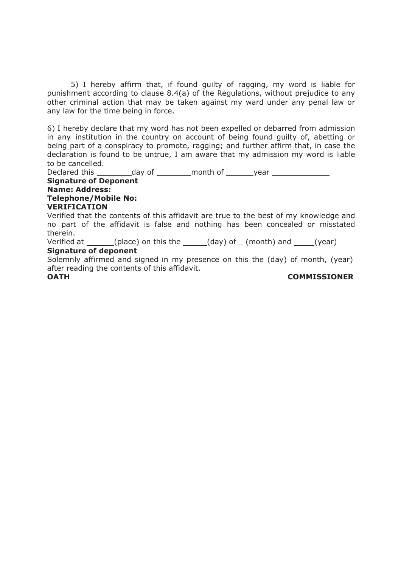5) I hereby affirm that, if found guilty of ragging, my word is liable for punishment according to clause 8.4(a) of the Regulations, without prejudice to any other criminal action that may be taken against my ward under any penal law or any law for the time being in force.

6) I hereby declare that my word has not been expelled or debarred from admission in any institution in the country on account of being found guilty of, abetting or being part of a conspiracy to promote, ragging; and further affirm that, in case the declaration is found to be untrue, I am aware that my admission my word is liable to be cancelled.

Declared this \_\_\_\_\_\_\_\_\_\_ day of \_\_\_\_\_\_\_\_\_ month of \_\_\_\_\_\_\_year \_\_\_\_\_\_\_\_\_\_\_\_\_\_\_\_\_ **Signature of Deponent Name: Address: Telephone/Mobile No: VERIFICATION** Verified that the contents of this affidavit are true to the best of my knowledge and

no part of the affidavit is false and nothing has been concealed or misstated therein.

Verified at  $\qquad \qquad$  (place) on this the  $\qquad \qquad$  (day) of  $\qquad$  (month) and  $\qquad \qquad$  (year) **Signature of deponent**

Solemnly affirmed and signed in my presence on this the (day) of month, (year) after reading the contents of this affidavit.

**OATH COMMISSIONER**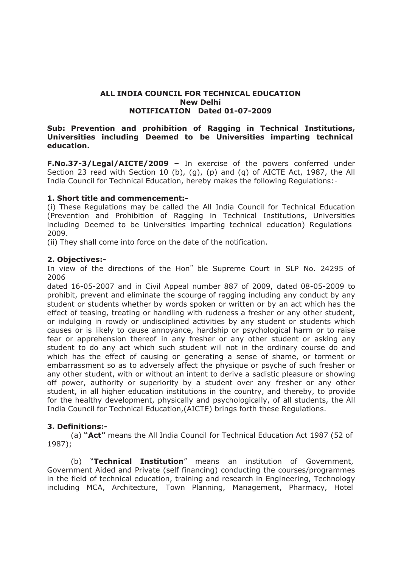## **ALL INDIA COUNCIL FOR TECHNICAL EDUCATION New Delhi NOTIFICATION Dated 01-07-2009**

## **Sub: Prevention and prohibition of Ragging in Technical Institutions, Universities including Deemed to be Universities imparting technical education.**

**F.No.37-3/Legal/AICTE/2009 –** In exercise of the powers conferred under Section 23 read with Section 10 (b), (g), (p) and (q) of AICTE Act, 1987, the All India Council for Technical Education, hereby makes the following Regulations:-

## **1. Short title and commencement:-**

(i) These Regulations may be called the All India Council for Technical Education (Prevention and Prohibition of Ragging in Technical Institutions, Universities including Deemed to be Universities imparting technical education) Regulations 2009.

(ii) They shall come into force on the date of the notification.

## **2. Objectives:-**

In view of the directions of the Hon<sup>«</sup> ble Supreme Court in SLP No. 24295 of 2006

dated 16-05-2007 and in Civil Appeal number 887 of 2009, dated 08-05-2009 to prohibit, prevent and eliminate the scourge of ragging including any conduct by any student or students whether by words spoken or written or by an act which has the effect of teasing, treating or handling with rudeness a fresher or any other student, or indulging in rowdy or undisciplined activities by any student or students which causes or is likely to cause annoyance, hardship or psychological harm or to raise fear or apprehension thereof in any fresher or any other student or asking any student to do any act which such student will not in the ordinary course do and which has the effect of causing or generating a sense of shame, or torment or embarrassment so as to adversely affect the physique or psyche of such fresher or any other student, with or without an intent to derive a sadistic pleasure or showing off power, authority or superiority by a student over any fresher or any other student, in all higher education institutions in the country, and thereby, to provide for the healthy development, physically and psychologically, of all students, the All India Council for Technical Education,(AICTE) brings forth these Regulations.

## **3. Definitions:-**

(a) **"Act"** means the All India Council for Technical Education Act 1987 (52 of 1987);

(b) "**Technical Institution**" means an institution of Government, Government Aided and Private (self financing) conducting the courses/programmes in the field of technical education, training and research in Engineering, Technology including MCA, Architecture, Town Planning, Management, Pharmacy, Hotel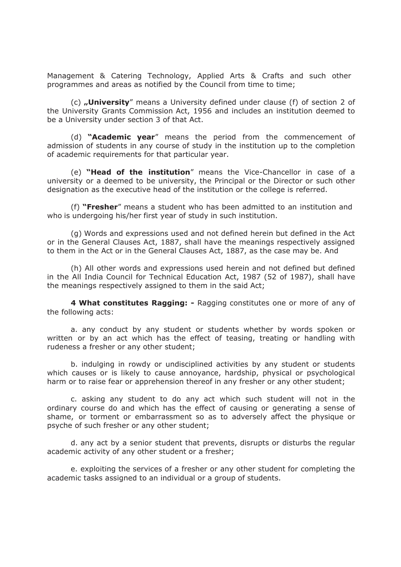Management & Catering Technology, Applied Arts & Crafts and such other programmes and areas as notified by the Council from time to time;

(c) **"University**" means a University defined under clause (f) of section 2 of the University Grants Commission Act, 1956 and includes an institution deemed to be a University under section 3 of that Act.

(d) **"Academic year**" means the period from the commencement of admission of students in any course of study in the institution up to the completion of academic requirements for that particular year.

(e) **"Head of the institution**" means the Vice-Chancellor in case of a university or a deemed to be university, the Principal or the Director or such other designation as the executive head of the institution or the college is referred.

(f) **"Fresher**" means a student who has been admitted to an institution and who is undergoing his/her first year of study in such institution.

(g) Words and expressions used and not defined herein but defined in the Act or in the General Clauses Act, 1887, shall have the meanings respectively assigned to them in the Act or in the General Clauses Act, 1887, as the case may be. And

(h) All other words and expressions used herein and not defined but defined in the All India Council for Technical Education Act, 1987 (52 of 1987), shall have the meanings respectively assigned to them in the said Act;

**4 What constitutes Ragging: -** Ragging constitutes one or more of any of the following acts:

a. any conduct by any student or students whether by words spoken or written or by an act which has the effect of teasing, treating or handling with rudeness a fresher or any other student;

b. indulging in rowdy or undisciplined activities by any student or students which causes or is likely to cause annoyance, hardship, physical or psychological harm or to raise fear or apprehension thereof in any fresher or any other student;

c. asking any student to do any act which such student will not in the ordinary course do and which has the effect of causing or generating a sense of shame, or torment or embarrassment so as to adversely affect the physique or psyche of such fresher or any other student;

d. any act by a senior student that prevents, disrupts or disturbs the regular academic activity of any other student or a fresher;

e. exploiting the services of a fresher or any other student for completing the academic tasks assigned to an individual or a group of students.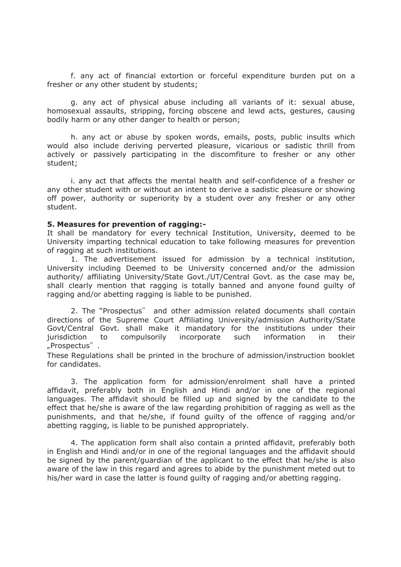f. any act of financial extortion or forceful expenditure burden put on a fresher or any other student by students;

g. any act of physical abuse including all variants of it: sexual abuse, homosexual assaults, stripping, forcing obscene and lewd acts, gestures, causing bodily harm or any other danger to health or person;

h. any act or abuse by spoken words, emails, posts, public insults which would also include deriving perverted pleasure, vicarious or sadistic thrill from actively or passively participating in the discomfiture to fresher or any other student;

i. any act that affects the mental health and self-confidence of a fresher or any other student with or without an intent to derive a sadistic pleasure or showing off power, authority or superiority by a student over any fresher or any other student.

#### **5. Measures for prevention of ragging:-**

It shall be mandatory for every technical Institution, University, deemed to be University imparting technical education to take following measures for prevention of ragging at such institutions.

1. The advertisement issued for admission by a technical institution, University including Deemed to be University concerned and/or the admission authority/ affiliating University/State Govt./UT/Central Govt. as the case may be, shall clearly mention that ragging is totally banned and anyone found guilty of ragging and/or abetting ragging is liable to be punished.

2. The "Prospectus" and other admission related documents shall contain directions of the Supreme Court Affiliating University/admission Authority/State Govt/Central Govt. shall make it mandatory for the institutions under their jurisdiction to compulsorily incorporate such information in their "Prospectus͉ .

These Regulations shall be printed in the brochure of admission/instruction booklet for candidates.

3. The application form for admission/enrolment shall have a printed affidavit, preferably both in English and Hindi and/or in one of the regional languages. The affidavit should be filled up and signed by the candidate to the effect that he/she is aware of the law regarding prohibition of ragging as well as the punishments, and that he/she, if found guilty of the offence of ragging and/or abetting ragging, is liable to be punished appropriately.

4. The application form shall also contain a printed affidavit, preferably both in English and Hindi and/or in one of the regional languages and the affidavit should be signed by the parent/guardian of the applicant to the effect that he/she is also aware of the law in this regard and agrees to abide by the punishment meted out to his/her ward in case the latter is found guilty of ragging and/or abetting ragging.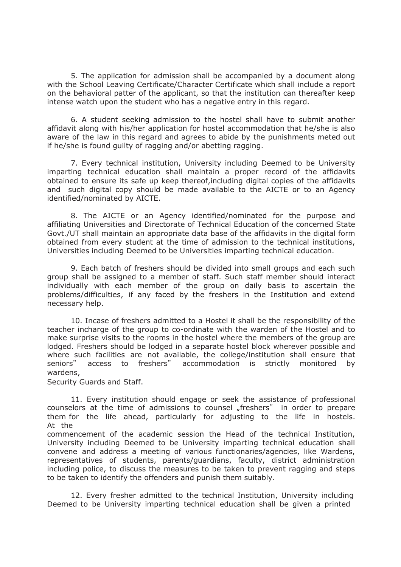5. The application for admission shall be accompanied by a document along with the School Leaving Certificate/Character Certificate which shall include a report on the behavioral patter of the applicant, so that the institution can thereafter keep intense watch upon the student who has a negative entry in this regard.

6. A student seeking admission to the hostel shall have to submit another affidavit along with his/her application for hostel accommodation that he/she is also aware of the law in this regard and agrees to abide by the punishments meted out if he/she is found guilty of ragging and/or abetting ragging.

7. Every technical institution, University including Deemed to be University imparting technical education shall maintain a proper record of the affidavits obtained to ensure its safe up keep thereof,including digital copies of the affidavits and such digital copy should be made available to the AICTE or to an Agency identified/nominated by AICTE.

8. The AICTE or an Agency identified/nominated for the purpose and affiliating Universities and Directorate of Technical Education of the concerned State Govt./UT shall maintain an appropriate data base of the affidavits in the digital form obtained from every student at the time of admission to the technical institutions, Universities including Deemed to be Universities imparting technical education.

9. Each batch of freshers should be divided into small groups and each such group shall be assigned to a member of staff. Such staff member should interact individually with each member of the group on daily basis to ascertain the problems/difficulties, if any faced by the freshers in the Institution and extend necessary help.

10. Incase of freshers admitted to a Hostel it shall be the responsibility of the teacher incharge of the group to co-ordinate with the warden of the Hostel and to make surprise visits to the rooms in the hostel where the members of the group are lodged. Freshers should be lodged in a separate hostel block wherever possible and where such facilities are not available, the college/institution shall ensure that seniors" access to freshers" accommodation is strictly monitored by wardens,

Security Guards and Staff.

11. Every institution should engage or seek the assistance of professional counselors at the time of admissions to counsel "freshers" in order to prepare them for the life ahead, particularly for adjusting to the life in hostels. At the

commencement of the academic session the Head of the technical Institution, University including Deemed to be University imparting technical education shall convene and address a meeting of various functionaries/agencies, like Wardens, representatives of students, parents/guardians, faculty, district administration including police, to discuss the measures to be taken to prevent ragging and steps to be taken to identify the offenders and punish them suitably.

12. Every fresher admitted to the technical Institution, University including Deemed to be University imparting technical education shall be given a printed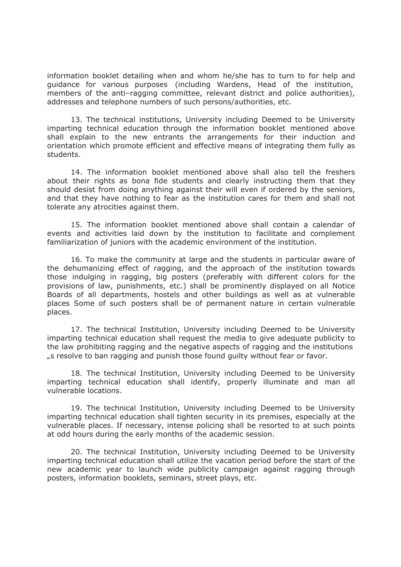information booklet detailing when and whom he/she has to turn to for help and guidance for various purposes (including Wardens, Head of the institution, members of the anti–ragging committee, relevant district and police authorities), addresses and telephone numbers of such persons/authorities, etc.

13. The technical institutions, University including Deemed to be University imparting technical education through the information booklet mentioned above shall explain to the new entrants the arrangements for their induction and orientation which promote efficient and effective means of integrating them fully as students.

14. The information booklet mentioned above shall also tell the freshers about their rights as bona fide students and clearly instructing them that they should desist from doing anything against their will even if ordered by the seniors, and that they have nothing to fear as the institution cares for them and shall not tolerate any atrocities against them.

15. The information booklet mentioned above shall contain a calendar of events and activities laid down by the institution to facilitate and complement familiarization of juniors with the academic environment of the institution.

16. To make the community at large and the students in particular aware of the dehumanizing effect of ragging, and the approach of the institution towards those indulging in ragging, big posters (preferably with different colors for the provisions of law, punishments, etc.) shall be prominently displayed on all Notice Boards of all departments, hostels and other buildings as well as at vulnerable places Some of such posters shall be of permanent nature in certain vulnerable places.

17. The technical Institution, University including Deemed to be University imparting technical education shall request the media to give adequate publicity to the law prohibiting ragging and the negative aspects of ragging and the institutions "s resolve to ban ragging and punish those found guilty without fear or favor.

18. The technical Institution, University including Deemed to be University imparting technical education shall identify, properly illuminate and man all vulnerable locations.

19. The technical Institution, University including Deemed to be University imparting technical education shall tighten security in its premises, especially at the vulnerable places. If necessary, intense policing shall be resorted to at such points at odd hours during the early months of the academic session.

20. The technical Institution, University including Deemed to be University imparting technical education shall utilize the vacation period before the start of the new academic year to launch wide publicity campaign against ragging through posters, information booklets, seminars, street plays, etc.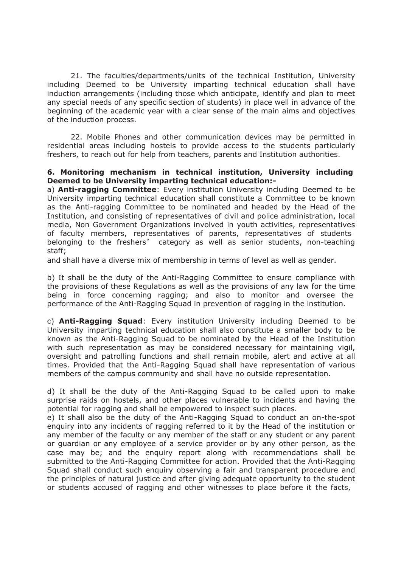21. The faculties/departments/units of the technical Institution, University including Deemed to be University imparting technical education shall have induction arrangements (including those which anticipate, identify and plan to meet any special needs of any specific section of students) in place well in advance of the beginning of the academic year with a clear sense of the main aims and objectives of the induction process.

22. Mobile Phones and other communication devices may be permitted in residential areas including hostels to provide access to the students particularly freshers, to reach out for help from teachers, parents and Institution authorities.

## **6. Monitoring mechanism in technical institution, University including Deemed to be University imparting technical education:-**

a) **Anti-ragging Committee**: Every institution University including Deemed to be University imparting technical education shall constitute a Committee to be known as the Anti-ragging Committee to be nominated and headed by the Head of the Institution, and consisting of representatives of civil and police administration, local media, Non Government Organizations involved in youth activities, representatives of faculty members, representatives of parents, representatives of students belonging to the freshers<sup>"</sup> category as well as senior students, non-teaching staff;

and shall have a diverse mix of membership in terms of level as well as gender.

b) It shall be the duty of the Anti-Ragging Committee to ensure compliance with the provisions of these Regulations as well as the provisions of any law for the time being in force concerning ragging; and also to monitor and oversee the performance of the Anti-Ragging Squad in prevention of ragging in the institution.

c) **Anti-Ragging Squad**: Every institution University including Deemed to be University imparting technical education shall also constitute a smaller body to be known as the Anti-Ragging Squad to be nominated by the Head of the Institution with such representation as may be considered necessary for maintaining vigil, oversight and patrolling functions and shall remain mobile, alert and active at all times. Provided that the Anti-Ragging Squad shall have representation of various members of the campus community and shall have no outside representation.

d) It shall be the duty of the Anti-Ragging Squad to be called upon to make surprise raids on hostels, and other places vulnerable to incidents and having the potential for ragging and shall be empowered to inspect such places.

e) It shall also be the duty of the Anti-Ragging Squad to conduct an on-the-spot enquiry into any incidents of ragging referred to it by the Head of the institution or any member of the faculty or any member of the staff or any student or any parent or guardian or any employee of a service provider or by any other person, as the case may be; and the enquiry report along with recommendations shall be submitted to the Anti-Ragging Committee for action. Provided that the Anti-Ragging Squad shall conduct such enquiry observing a fair and transparent procedure and the principles of natural justice and after giving adequate opportunity to the student or students accused of ragging and other witnesses to place before it the facts,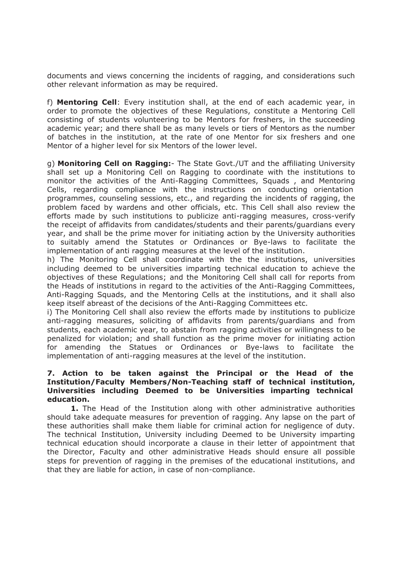documents and views concerning the incidents of ragging, and considerations such other relevant information as may be required.

f) **Mentoring Cell**: Every institution shall, at the end of each academic year, in order to promote the objectives of these Regulations, constitute a Mentoring Cell consisting of students volunteering to be Mentors for freshers, in the succeeding academic year; and there shall be as many levels or tiers of Mentors as the number of batches in the institution, at the rate of one Mentor for six freshers and one Mentor of a higher level for six Mentors of the lower level.

g) **Monitoring Cell on Ragging:**- The State Govt./UT and the affiliating University shall set up a Monitoring Cell on Ragging to coordinate with the institutions to monitor the activities of the Anti-Ragging Committees, Squads , and Mentoring Cells, regarding compliance with the instructions on conducting orientation programmes, counseling sessions, etc., and regarding the incidents of ragging, the problem faced by wardens and other officials, etc. This Cell shall also review the efforts made by such institutions to publicize anti-ragging measures, cross-verify the receipt of affidavits from candidates/students and their parents/guardians every year, and shall be the prime mover for initiating action by the University authorities to suitably amend the Statutes or Ordinances or Bye-laws to facilitate the implementation of anti ragging measures at the level of the institution.

h) The Monitoring Cell shall coordinate with the the institutions, universities including deemed to be universities imparting technical education to achieve the objectives of these Regulations; and the Monitoring Cell shall call for reports from the Heads of institutions in regard to the activities of the Anti-Ragging Committees, Anti-Ragging Squads, and the Mentoring Cells at the institutions, and it shall also keep itself abreast of the decisions of the Anti-Ragging Committees etc.

i) The Monitoring Cell shall also review the efforts made by institutions to publicize anti-ragging measures, soliciting of affidavits from parents/guardians and from students, each academic year, to abstain from ragging activities or willingness to be penalized for violation; and shall function as the prime mover for initiating action for amending the Statues or Ordinances or Bye-laws to facilitate the implementation of anti-ragging measures at the level of the institution.

## **7. Action to be taken against the Principal or the Head of the Institution/Faculty Members/Non-Teaching staff of technical institution, Universities including Deemed to be Universities imparting technical education.**

**1.** The Head of the Institution along with other administrative authorities should take adequate measures for prevention of ragging. Any lapse on the part of these authorities shall make them liable for criminal action for negligence of duty. The technical Institution, University including Deemed to be University imparting technical education should incorporate a clause in their letter of appointment that the Director, Faculty and other administrative Heads should ensure all possible steps for prevention of ragging in the premises of the educational institutions, and that they are liable for action, in case of non-compliance.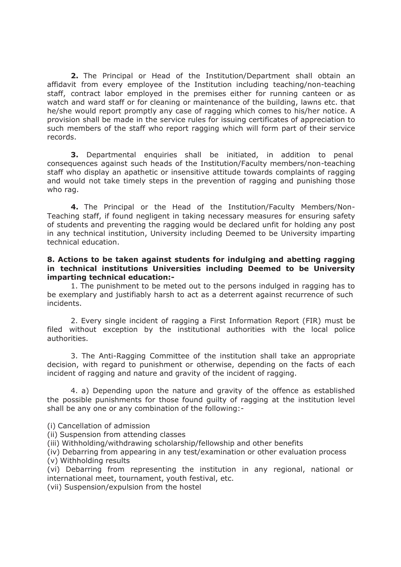**2.** The Principal or Head of the Institution/Department shall obtain an affidavit from every employee of the Institution including teaching/non-teaching staff, contract labor employed in the premises either for running canteen or as watch and ward staff or for cleaning or maintenance of the building, lawns etc. that he/she would report promptly any case of ragging which comes to his/her notice. A provision shall be made in the service rules for issuing certificates of appreciation to such members of the staff who report ragging which will form part of their service records.

**3.** Departmental enquiries shall be initiated, in addition to penal consequences against such heads of the Institution/Faculty members/non-teaching staff who display an apathetic or insensitive attitude towards complaints of ragging and would not take timely steps in the prevention of ragging and punishing those who rag.

**4.** The Principal or the Head of the Institution/Faculty Members/Non-Teaching staff, if found negligent in taking necessary measures for ensuring safety of students and preventing the ragging would be declared unfit for holding any post in any technical institution, University including Deemed to be University imparting technical education.

## **8. Actions to be taken against students for indulging and abetting ragging in technical institutions Universities including Deemed to be University imparting technical education:-**

1. The punishment to be meted out to the persons indulged in ragging has to be exemplary and justifiably harsh to act as a deterrent against recurrence of such incidents.

2. Every single incident of ragging a First Information Report (FIR) must be filed without exception by the institutional authorities with the local police authorities.

3. The Anti-Ragging Committee of the institution shall take an appropriate decision, with regard to punishment or otherwise, depending on the facts of each incident of ragging and nature and gravity of the incident of ragging.

4. a) Depending upon the nature and gravity of the offence as established the possible punishments for those found guilty of ragging at the institution level shall be any one or any combination of the following:-

(i) Cancellation of admission

(ii) Suspension from attending classes

(iii) Withholding/withdrawing scholarship/fellowship and other benefits

(iv) Debarring from appearing in any test/examination or other evaluation process (v) Withholding results

(vi) Debarring from representing the institution in any regional, national or international meet, tournament, youth festival, etc.

(vii) Suspension/expulsion from the hostel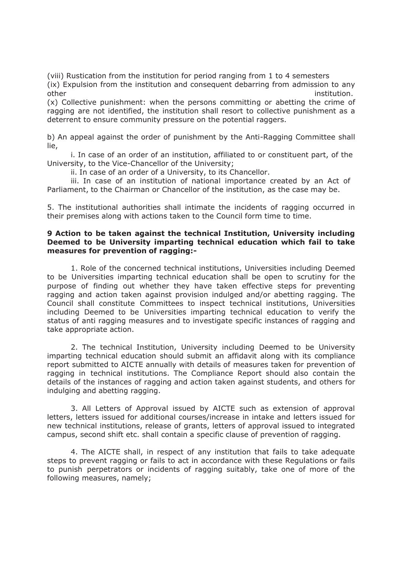(viii) Rustication from the institution for period ranging from 1 to 4 semesters (ix) Expulsion from the institution and consequent debarring from admission to any other institution. The institution of the contract of the contract of the contract of the contract of the contract of the contract of the contract of the contract of the contract of the contract of the contract of the cont

(x) Collective punishment: when the persons committing or abetting the crime of ragging are not identified, the institution shall resort to collective punishment as a deterrent to ensure community pressure on the potential raggers.

b) An appeal against the order of punishment by the Anti-Ragging Committee shall lie,

i. In case of an order of an institution, affiliated to or constituent part, of the University, to the Vice-Chancellor of the University;

ii. In case of an order of a University, to its Chancellor.

iii. In case of an institution of national importance created by an Act of Parliament, to the Chairman or Chancellor of the institution, as the case may be.

5. The institutional authorities shall intimate the incidents of ragging occurred in their premises along with actions taken to the Council form time to time.

## **9 Action to be taken against the technical Institution, University including Deemed to be University imparting technical education which fail to take measures for prevention of ragging:-**

1. Role of the concerned technical institutions, Universities including Deemed to be Universities imparting technical education shall be open to scrutiny for the purpose of finding out whether they have taken effective steps for preventing ragging and action taken against provision indulged and/or abetting ragging. The Council shall constitute Committees to inspect technical institutions, Universities including Deemed to be Universities imparting technical education to verify the status of anti ragging measures and to investigate specific instances of ragging and take appropriate action.

2. The technical Institution, University including Deemed to be University imparting technical education should submit an affidavit along with its compliance report submitted to AICTE annually with details of measures taken for prevention of ragging in technical institutions. The Compliance Report should also contain the details of the instances of ragging and action taken against students, and others for indulging and abetting ragging.

3. All Letters of Approval issued by AICTE such as extension of approval letters, letters issued for additional courses/increase in intake and letters issued for new technical institutions, release of grants, letters of approval issued to integrated campus, second shift etc. shall contain a specific clause of prevention of ragging.

4. The AICTE shall, in respect of any institution that fails to take adequate steps to prevent ragging or fails to act in accordance with these Regulations or fails to punish perpetrators or incidents of ragging suitably, take one of more of the following measures, namely;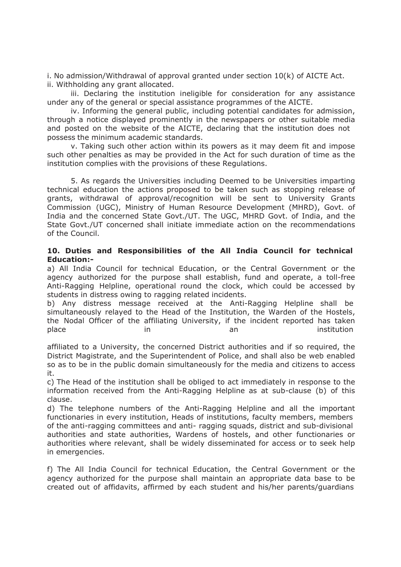i. No admission/Withdrawal of approval granted under section 10(k) of AICTE Act. ii. Withholding any grant allocated.

iii. Declaring the institution ineligible for consideration for any assistance under any of the general or special assistance programmes of the AICTE.

iv. Informing the general public, including potential candidates for admission, through a notice displayed prominently in the newspapers or other suitable media and posted on the website of the AICTE, declaring that the institution does not possess the minimum academic standards.

v. Taking such other action within its powers as it may deem fit and impose such other penalties as may be provided in the Act for such duration of time as the institution complies with the provisions of these Regulations.

5. As regards the Universities including Deemed to be Universities imparting technical education the actions proposed to be taken such as stopping release of grants, withdrawal of approval/recognition will be sent to University Grants Commission (UGC), Ministry of Human Resource Development (MHRD), Govt. of India and the concerned State Govt./UT. The UGC, MHRD Govt. of India, and the State Govt./UT concerned shall initiate immediate action on the recommendations of the Council.

## **10. Duties and Responsibilities of the All India Council for technical Education:-**

a) All India Council for technical Education, or the Central Government or the agency authorized for the purpose shall establish, fund and operate, a toll-free Anti-Ragging Helpline, operational round the clock, which could be accessed by students in distress owing to ragging related incidents.

b) Any distress message received at the Anti-Ragging Helpline shall be simultaneously relayed to the Head of the Institution, the Warden of the Hostels, the Nodal Officer of the affiliating University, if the incident reported has taken place in an institution in an institution

affiliated to a University, the concerned District authorities and if so required, the District Magistrate, and the Superintendent of Police, and shall also be web enabled so as to be in the public domain simultaneously for the media and citizens to access it.

c) The Head of the institution shall be obliged to act immediately in response to the information received from the Anti-Ragging Helpline as at sub-clause (b) of this clause.

d) The telephone numbers of the Anti-Ragging Helpline and all the important functionaries in every institution, Heads of institutions, faculty members, members of the anti-ragging committees and anti- ragging squads, district and sub-divisional authorities and state authorities, Wardens of hostels, and other functionaries or authorities where relevant, shall be widely disseminated for access or to seek help in emergencies.

f) The All India Council for technical Education, the Central Government or the agency authorized for the purpose shall maintain an appropriate data base to be created out of affidavits, affirmed by each student and his/her parents/guardians